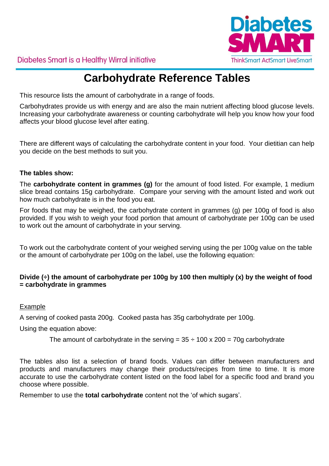

Diabetes Smart is a Healthy Wirral initiative

# **Carbohydrate Reference Tables**

This resource lists the amount of carbohydrate in a range of foods.

Carbohydrates provide us with energy and are also the main nutrient affecting blood glucose levels. Increasing your carbohydrate awareness or counting carbohydrate will help you know how your food affects your blood glucose level after eating.

There are different ways of calculating the carbohydrate content in your food. Your dietitian can help you decide on the best methods to suit you.

### **The tables show:**

The **carbohydrate content in grammes (g)** for the amount of food listed. For example, 1 medium slice bread contains 15g carbohydrate. Compare your serving with the amount listed and work out how much carbohydrate is in the food you eat.

For foods that may be weighed, the carbohydrate content in grammes (g) per 100g of food is also provided. If you wish to weigh your food portion that amount of carbohydrate per 100g can be used to work out the amount of carbohydrate in your serving.

To work out the carbohydrate content of your weighed serving using the per 100g value on the table or the amount of carbohydrate per 100g on the label, use the following equation:

### **Divide (÷) the amount of carbohydrate per 100g by 100 then multiply (x) by the weight of food = carbohydrate in grammes**

#### Example

A serving of cooked pasta 200g. Cooked pasta has 35g carbohydrate per 100g.

Using the equation above:

```
The amount of carbohydrate in the serving = 35 \div 100 \times 200 = 70g carbohydrate
```
The tables also list a selection of brand foods. Values can differ between manufacturers and products and manufacturers may change their products/recipes from time to time. It is more accurate to use the carbohydrate content listed on the food label for a specific food and brand you choose where possible.

Remember to use the **total carbohydrate** content not the 'of which sugars'.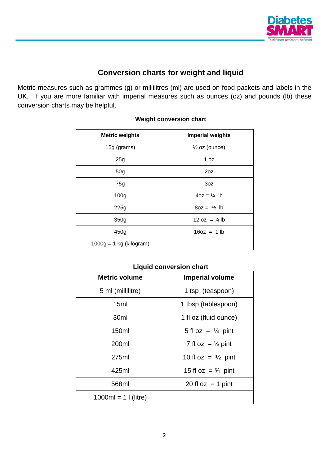

## **Conversion charts for weight and liquid**

Metric measures such as grammes (g) or millilitres (ml) are used on food packets and labels in the UK. If you are more familiar with imperial measures such as ounces (oz) and pounds (lb) these conversion charts may be helpful.

| <b>Metric weights</b>     | <b>Imperial weights</b>  |
|---------------------------|--------------------------|
| 15g (grams)               | $\frac{1}{2}$ oz (ounce) |
| 25g                       | 1 $oz$                   |
| 50 <sub>q</sub>           | 20Z                      |
| 75g                       | 3oz                      |
| 100 <sub>g</sub>          | $4oz = \frac{1}{4}$ lb   |
| 225g                      | $8oz = \frac{1}{2}$ lb   |
| 350g                      | 12 oz = $\frac{3}{4}$ lb |
| 450g                      | $16oz = 1 lb$            |
| $1000g = 1$ kg (kilogram) |                          |

### **Weight conversion chart**

| Liguid conversion chart |                               |  |  |
|-------------------------|-------------------------------|--|--|
| <b>Metric volume</b>    | <b>Imperial volume</b>        |  |  |
| 5 ml (millilitre)       | 1 tsp (teaspoon)              |  |  |
| 15ml                    | 1 tbsp (tablespoon)           |  |  |
| 30 <sub>ml</sub>        | 1 fl oz (fluid ounce)         |  |  |
| 150ml                   | 5 fl oz = $\frac{1}{4}$ pint  |  |  |
| 200ml                   | 7 fl oz = $\frac{1}{3}$ pint  |  |  |
| 275ml                   | 10 fl oz = $\frac{1}{2}$ pint |  |  |
| 425ml                   | 15 fl oz = $\frac{3}{4}$ pint |  |  |
| 568ml                   | 20 fl $oz = 1$ pint           |  |  |
| $1000ml = 1$ (litre)    |                               |  |  |

### **Liquid conversion chart**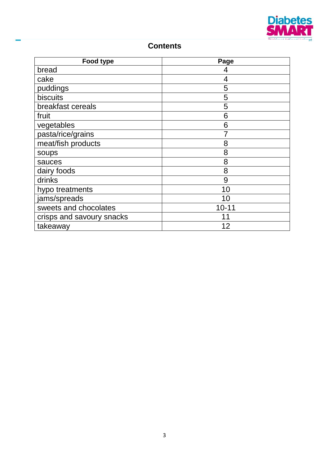

### **Contents**

| Food type                 | Page      |
|---------------------------|-----------|
| bread                     | 4         |
| cake                      | 4         |
| puddings                  | 5         |
| biscuits                  | 5         |
| breakfast cereals         | 5         |
| fruit                     | 6         |
| vegetables                | 6         |
| pasta/rice/grains         |           |
| meat/fish products        | 8         |
| <b>SOUPS</b>              | 8         |
| sauces                    | 8         |
| dairy foods               | 8         |
| drinks                    | 9         |
| hypo treatments           | 10        |
| jams/spreads              | 10        |
| sweets and chocolates     | $10 - 11$ |
| crisps and savoury snacks |           |
| takeaway                  | 12        |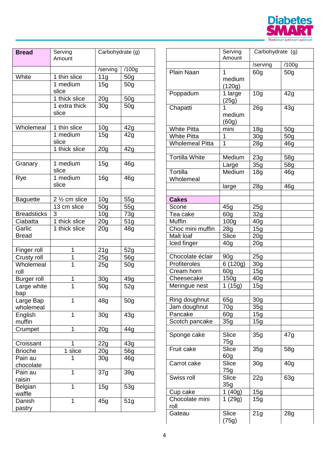

| <b>Bread</b>             | Serving<br>Amount      | Carbohydrate (g) |                 |
|--------------------------|------------------------|------------------|-----------------|
|                          |                        |                  |                 |
|                          |                        | /serving         | /100g           |
| White                    | 1 thin slice           | 11g              | 50 <sub>g</sub> |
|                          | 1 medium<br>slice      | 15g              | 50 <sub>q</sub> |
|                          | 1 thick slice          | 20 <sub>g</sub>  | 50 <sub>g</sub> |
|                          | 1 extra thick<br>slice | 30 <sub>g</sub>  | 50 <sub>g</sub> |
| Wholemeal                | 1 thin slice           | 10 <sub>g</sub>  | 42g             |
|                          | 1 medium               | 15g              | 42g             |
|                          | slice                  |                  |                 |
|                          | 1 thick slice          | 20 <sub>g</sub>  | 42g             |
|                          |                        |                  |                 |
| Granary                  | 1 medium<br>slice      | 15g              | 46 <sub>g</sub> |
| Rye                      | 1 medium<br>slice      | 16g              | 46 <sub>g</sub> |
|                          |                        |                  |                 |
| <b>Baguette</b>          | 2 1/2 cm slice         | 10 <sub>g</sub>  | 55g             |
|                          | 13 cm slice            | 50 <sub>g</sub>  | 55g             |
| <b>Breadsticks</b>       | 3                      | 10 <sub>g</sub>  | 73g             |
| Ciabatta                 | 1 thick slice          | 20 <sub>g</sub>  | 51g             |
| Garlic<br><b>Bread</b>   | 1 thick slice          | 20 <sub>g</sub>  | 48g             |
|                          |                        |                  |                 |
| Finger roll              | 1<br>1                 | 21g              | 52g             |
| Crusty roll<br>Wholemeal | 1                      | 25g              | 56g             |
| roll                     |                        | 25g              | 50g             |
| <b>Burger roll</b>       | 1                      | 30 <sub>g</sub>  | 49q             |
| Large white<br>bap       | $\overline{1}$         | 50 <sub>g</sub>  | 52g             |
| Large Bap<br>wholemeal   | 1                      | 48g              | 50 <sub>g</sub> |
| English<br>muffin        | 1                      | 30 <sub>g</sub>  | 43g             |
| Crumpet                  | 1                      | 20 <sub>g</sub>  | 44g             |
|                          |                        |                  |                 |
| Croissant                | 1                      | 22g              | 43g             |
| <b>Brioche</b>           | slice<br>1             | 20g              | 56g             |
| Pain au<br>chocolate     | 1                      | 30g              | 46g             |
| Pain au<br>raisin        | 1                      | 37g              | 39g             |
| Belgian<br>waffle        | 1                      | 15g              | 53g             |
| Danish<br>pastry         | 1                      | 45g              | 51g             |

|                        | Serving<br>Amount               | Carbohydrate (g) |                 |
|------------------------|---------------------------------|------------------|-----------------|
|                        |                                 | /serving         | /100g           |
| <b>Plain Naan</b>      | 1<br>medium<br>(120g)           | 60 <sub>q</sub>  | 50 <sub>q</sub> |
| Poppadum               | 1 large<br>(25g)                | 10 <sub>g</sub>  | 42g             |
| Chapatti               | 1<br>medium<br>(60g)            | 26g              | 43g             |
| <b>White Pitta</b>     | mini                            | 18 <sub>g</sub>  | 50 <sub>g</sub> |
| <b>White Pitta</b>     | 1                               | 30 <sub>g</sub>  | 50 <sub>g</sub> |
| <b>Wholemeal Pitta</b> | 1                               | 28g              | 46 <sub>q</sub> |
|                        |                                 |                  |                 |
| Tortilla White         | Medium                          | 23g              | 58g             |
|                        | Large                           | 35g              | 58g             |
| Tortilla<br>Wholemeal  | Medium                          | 18 <sub>g</sub>  | 46g             |
|                        | large                           | 28 <sub>q</sub>  | 46 <sub>q</sub> |
| <b>Cakes</b>           |                                 |                  |                 |
| Scone                  | 45g                             | 25g              |                 |
| Tea cake               | 60g                             | 32g              |                 |
| <b>Muffin</b>          | 100 <sub>g</sub>                |                  |                 |
| Choc mini muffin       |                                 | 40 <sub>g</sub>  |                 |
| Malt loaf              | 28g<br><b>Slice</b>             | 15g              |                 |
|                        |                                 | 20 <sub>g</sub>  |                 |
| Iced finger            | 40g                             | 20 <sub>g</sub>  |                 |
| Chocolate éclair       | 90g                             | 25g              |                 |
| Profiteroles           | 6 (120g)                        | 30 <sub>q</sub>  |                 |
| Cream horn             | 60g                             | 15g              |                 |
| Cheesecake             | 150g                            | 40 <sub>g</sub>  |                 |
| Meringue nest          | 1 $(15g)$                       | 15g              |                 |
| Ring doughnut          | 65g                             | 30 <sub>g</sub>  |                 |
| Jam doughnut           | 70g                             | 35g              |                 |
| Pancake                | 60 <sub>g</sub>                 | 15g              |                 |
| Scotch pancake         | 35g                             | 15g              |                 |
| Sponge cake            | Slice<br>75g                    | 35g              | 47g             |
| Fruit cake             | <b>Slice</b><br>60 <sub>g</sub> | 35g              | 58g             |
| Carrot cake            | Slice<br>75g                    | 30 <sub>g</sub>  | 40 <sub>g</sub> |
| Swiss roll             | Slice<br>35g                    | 22g              | 63g             |
| Cup cake               | 1 $(40g)$                       | 15g              |                 |
| Chocolate mini<br>roll | 1(29g)                          | 15g              |                 |
| Gateau                 | Slice<br>(75g)                  | 21g              | 28g             |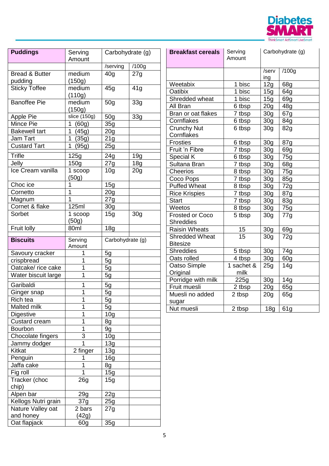

| <b>Puddings</b>                | Serving         | Carbohydrate (g) |                 |
|--------------------------------|-----------------|------------------|-----------------|
|                                | Amount          |                  |                 |
|                                |                 | /serving         | /100g           |
| <b>Bread &amp; Butter</b>      | medium          | 40 <sub>g</sub>  | 27g             |
| pudding                        | (150g)          |                  |                 |
| <b>Sticky Toffee</b>           | medium          | 45g              | 41g             |
|                                | (110g)          |                  |                 |
| <b>Banoffee Pie</b>            | medium          | 50 <sub>g</sub>  | 33g             |
|                                | (150g)          |                  |                 |
| <b>Apple Pie</b>               | slice $(150g)$  | 50 <sub>q</sub>  | 33g             |
| Mince Pie                      | (60g)<br>1      | 35g              |                 |
| <b>Bakewell tart</b>           | 1<br>(45g)      | 20 <sub>g</sub>  |                 |
| Jam Tart                       | 1<br>(35g)      | 21g              |                 |
| Custard Tart                   | 1<br>(95g)      | 25g              |                 |
| <b>Trifle</b>                  | 125g            | 24g              | 19 <sub>g</sub> |
| Jelly                          | 150g            | 27g              | 18 <sub>g</sub> |
| Ice Cream vanilla              | 1 scoop         | 10 <sub>g</sub>  | 20 <sub>g</sub> |
|                                | (50g)           |                  |                 |
| Choc ice                       | 1               | 15g              |                 |
| Cornetto                       | 1               | 20 <sub>g</sub>  |                 |
| Magnum                         | 1               | 27g              |                 |
| Cornet & flake                 | <b>125ml</b>    | 30g              |                 |
| Sorbet                         | 1 scoop         | 15g              | 30 <sub>g</sub> |
|                                | (50g)           |                  |                 |
| Fruit lolly                    | 80ml            | 18 <sub>g</sub>  |                 |
|                                |                 |                  |                 |
|                                |                 |                  |                 |
| <b>Biscuits</b>                | Serving         | Carbohydrate (g) |                 |
|                                | Amount<br>1     |                  |                 |
| Savoury cracker                | 1               | 5g               |                 |
| crispbread                     | 1               | 5g               |                 |
| Oatcake/ rice cake             | 1               | 5g               |                 |
| Water biscuit large            |                 | 5g               |                 |
| Garibaldi                      | 1               | 5g               |                 |
| Ginger snap                    | 1               | <u>5g</u>        |                 |
| Rich tea                       | 1               | 5g               |                 |
| Malted milk                    | 1               | 5g               |                 |
| Digestive                      | 1               | 10 <sub>g</sub>  |                 |
| <b>Custard cream</b>           | 1               | 8g               |                 |
| Bourbon                        | 1               | 9g               |                 |
| Chocolate fingers              | 3               | 10 <sub>g</sub>  |                 |
| Jammy dodger                   | 1               | 13g              |                 |
| Kitkat                         | 2 finger        | 13g              |                 |
| Penguin                        | 1               | 16g              |                 |
| Jaffa cake                     | 1               | 8g               |                 |
| Fig roll                       | 1               | 15g              |                 |
| Tracker (choc                  | 26g             | 15g              |                 |
| chip)                          |                 |                  |                 |
| Alpen bar                      | 29g             | 22g              |                 |
| Kellogs Nutri grain            | 37g             | 25g              |                 |
| Nature Valley oat<br>and honey | 2 bars<br>(42g) | 27g              |                 |

| <b>Breakfast cereals</b> | Serving<br>Amount | Carbohydrate (g) |                 |
|--------------------------|-------------------|------------------|-----------------|
|                          |                   | /serv            | /100g           |
|                          |                   | ing              |                 |
| Weetabix                 | 1 bisc            | 12g              | 68g             |
| Oatibix                  | 1 bisc            | 15g              | 64g             |
| Shredded wheat           | 1 bisc            | 15g              | 69g             |
| All Bran                 | 6 tbsp            | 20 <sub>g</sub>  | 48 <sub>g</sub> |
| Bran or oat flakes       | 7 tbsp            | 30 <sub>g</sub>  | 67g             |
| Cornflakes               | 6 tbsp            | 30 <sub>g</sub>  | 84g             |
| Crunchy Nut              | 6 tbsp            | 30 <sub>g</sub>  | 82g             |
| Cornflakes               |                   |                  |                 |
| <b>Frosties</b>          | 6 tbsp            | 30 <sub>g</sub>  | 87g             |
| Fruit 'n Fibre           | 7 tbsp            | 30 <sub>g</sub>  | 69g             |
| Special K                | 6 tbsp            | 30 <sub>g</sub>  | 75g             |
| Sultana Bran             | 7 tbsp            | 30 <sub>g</sub>  | 68g             |
| <b>Cheerios</b>          | 8 tbsp            | 30 <sub>g</sub>  | 75g             |
| Coco Pops                | 7 tbsp            | 30 <sub>g</sub>  | 85g             |
| <b>Puffed Wheat</b>      | 8 tbsp            | 30 <sub>g</sub>  | 72g             |
| <b>Rice Krispies</b>     | 7 tbsp            | 30 <sub>g</sub>  | 87g             |
| <b>Start</b>             | 7 tbsp            | 30 <sub>g</sub>  | 83g             |
| Weetos                   | 8 tbsp            | 30 <sub>g</sub>  | 75g             |
| <b>Frosted or Coco</b>   | 5 tbsp            | 30 <sub>g</sub>  | 77g             |
| <b>Shreddies</b>         |                   |                  |                 |
| <b>Raisin Wheats</b>     | 15                | 30 <sub>g</sub>  | 69g             |
| <b>Shredded Wheat</b>    | 15                | 30 <sub>q</sub>  | 72g             |
| <b>Bitesize</b>          |                   |                  |                 |
| <b>Shreddies</b>         | 5 tbsp            | 30 <sub>g</sub>  | 74g             |
| Oats rolled              | 4 tbsp            | 30 <sub>g</sub>  | 60g             |
| Oatso Simple             | 1 sachet &        | 25g              | 14g             |
| Original                 | milk              |                  |                 |
| Porridge with milk       | 225g              | 30 <sub>g</sub>  | 14g             |
| Fruit muesli             | 2 tbsp            | 20 <sub>g</sub>  | 65g             |
| Muesli no added          | 2 tbsp            | 20g              | 65g             |
| sugar                    |                   |                  |                 |
| Nut muesli               | 2 tbsp            | 18 <sub>g</sub>  | 61g             |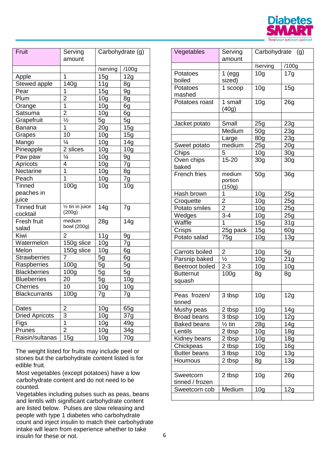

| Fruit                 | Serving<br>amount          | Carbohydrate (g) |                 |
|-----------------------|----------------------------|------------------|-----------------|
|                       |                            | /serving         | /100g           |
| Apple                 | 1                          | 15g              | 12g             |
| Stewed apple          | 140g                       | 11g              | 8g              |
| Pear                  | 1                          | 15g              | 9g              |
| Plum                  | $\overline{2}$             | 10 <sub>g</sub>  | 8g              |
| Orange                | $\overline{1}$             | 10 <sub>g</sub>  | 6g              |
| Satsuma               | $\overline{2}$             | 10 <sub>g</sub>  | 6g              |
| Grapefruit            | $\frac{1}{2}$              | 5g               | 5g              |
| Banana                | 1                          | 20 <sub>g</sub>  | 15g             |
| Grapes                | 10                         | 10 <sub>g</sub>  | 15g             |
| Mango                 | $\frac{1}{4}$              | 10 <sub>g</sub>  | 14g             |
| Pineapple             | 2 slices                   | 10 <sub>g</sub>  | 10 <sub>g</sub> |
| Paw paw               | $\frac{1}{4}$              | 10 <sub>g</sub>  | 9g              |
| Apricots              | 4                          | 10 <sub>g</sub>  | 7g              |
| Nectarine             | $\overline{1}$             | 10 <sub>g</sub>  | 8g              |
| Peach                 | $\overline{1}$             | 10 <sub>g</sub>  | 7g              |
| <b>Tinned</b>         | 100 <sub>g</sub>           | 10 <sub>g</sub>  | 10 <sub>g</sub> |
| peaches in            |                            |                  |                 |
| juice                 |                            |                  |                 |
| <b>Tinned fruit</b>   | $\frac{1}{2}$ tin in juice | 14g              | 7g              |
| cocktail              | (200g)                     |                  |                 |
| Fresh fruit           | medium                     | 28g              | 14g             |
| salad                 | bowl (200g)                |                  |                 |
| Kiwi                  | 2                          | 11g              | 9g              |
| Watermelon            | 150g slice                 | 10 <sub>g</sub>  | 7g              |
| Melon                 | 150g slice                 | 10 <sub>g</sub>  | 6g              |
| <b>Strawberries</b>   | 7                          | 5g               | 6g              |
| Raspberries           | 100 <sub>g</sub>           | 5g               | 5g              |
| <b>Blackberries</b>   | 100 <sub>g</sub>           | 5g               | 5g              |
| <b>Blueberries</b>    | 20                         | 5g               | 10 <sub>g</sub> |
| <b>Cherries</b>       | 10                         | 10 <sub>g</sub>  | 10g             |
| <b>Blackcurrants</b>  | 100a                       | 7α               | 7α              |
|                       |                            |                  |                 |
| Dates                 | $\overline{2}$             | 10 <sub>g</sub>  | 65g             |
| <b>Dried Apricots</b> | 3                          | 10 <sub>g</sub>  | 37g             |
| Figs                  | $\overline{1}$             | 10 <sub>g</sub>  | 49g             |
| Prunes                | $\overline{2}$             | 10 <sub>g</sub>  | 34g             |
| Raisin/sultanas       | 15g                        | 10 <sub>g</sub>  | 70 <sub>g</sub> |

The weight listed for fruits may include peel or stones but the carbohydrate content listed is for edible fruit.

Most vegetables (except potatoes) have a low carbohydrate content and do not need to be counted.

Vegetables including pulses such as peas, beans and lentils with significant carbohydrate content are listed below. Pulses are slow releasing and people with type 1 diabetes who carbohydrate count and inject insulin to match their carbohydrate intake will learn from experience whether to take insulin for these or not.

| Vegetables                 | Serving<br>amount | Carbohydrate (g) |                 |
|----------------------------|-------------------|------------------|-----------------|
|                            |                   | /serving         | /100g           |
| Potatoes                   | 1 (egg)           | 10 <sub>q</sub>  | 17g             |
| boiled                     | sized)            |                  |                 |
| Potatoes                   | 1 scoop           | 10 <sub>g</sub>  | 15g             |
| mashed                     |                   |                  |                 |
| Potatoes roast             | 1 small           | 10 <sub>g</sub>  |                 |
|                            | (40g)             |                  | 26g             |
|                            |                   |                  |                 |
| Jacket potato              | Small             | 25g              | 23g             |
|                            | Medium            | 50 <sub>g</sub>  | 23g             |
|                            | Large             | 80 <sub>g</sub>  | 23g             |
| Sweet potato               | medium            | 25g              | 20 <sub>g</sub> |
| Chips                      | 5                 | 10 <sub>g</sub>  | 30g             |
| Oven chips                 | $15 - 20$         | 30 <sub>g</sub>  | 30 <sub>g</sub> |
| baked                      |                   |                  |                 |
| <b>French fries</b>        | medium            | 50g              | 36 <sub>g</sub> |
|                            | portion           |                  |                 |
|                            | (150g)            |                  |                 |
| Hash brown                 | 1                 | 10 <sub>q</sub>  | 25g             |
| Croquette                  | $\overline{2}$    | 10 <sub>g</sub>  | 25g             |
| Potato smiles              | $\overline{2}$    | 10 <sub>g</sub>  | 25g             |
| Wedges                     | $3 - 4$           | 10 <sub>g</sub>  | 25g             |
| Waffle                     | 1                 | 15g              | 31g             |
| Crisps                     | 25g pack          | 15g              | 60g             |
| Potato salad               | 75g               | 10 <sub>g</sub>  | 13g             |
|                            |                   |                  |                 |
| Carrots boiled             | 2                 | 10 <sub>g</sub>  | 5g              |
| Parsnip baked              | $\frac{1}{2}$     | 10 <sub>g</sub>  | 21g             |
| <b>Beetroot boiled</b>     | $2 - 3$           | 10 <sub>g</sub>  | 10 <sub>g</sub> |
| <b>Butternut</b><br>squash | 100g              | 8g               | 8g              |
|                            |                   |                  |                 |
| Peas frozen/               | 3 tbsp            | 10g              | 12g             |
| tinned                     |                   |                  |                 |
| Mushy peas                 | 2 tbsp            | 10 <sub>g</sub>  | 14g             |
| <b>Broad beans</b>         | 3 tbsp            | 10 <sub>g</sub>  | 12g             |
| <b>Baked beans</b>         | $\frac{1}{2}$ tin | 28g              | 14g             |
| Lentils                    | 2 tbsp            | 10 <sub>g</sub>  | 18 <sub>g</sub> |
| Kidney beans               | 2 tbsp            | 10 <sub>g</sub>  | 18 <sub>q</sub> |
| Chickpeas                  | 2 tbsp            | 10g              | 16g             |
| <b>Butter beans</b>        | 3 tbsp            | 10 <sub>q</sub>  | 13g             |
| Houmous                    | 2 tbsp            | 8g               | 13g             |
|                            |                   |                  |                 |
| Sweetcorn                  | 2 tbsp            | 10 <sub>g</sub>  | 26g             |
| tinned / frozen            |                   |                  |                 |
| Sweetcorn cob              | Medium            | 10 <sub>g</sub>  | 12g             |
|                            |                   |                  |                 |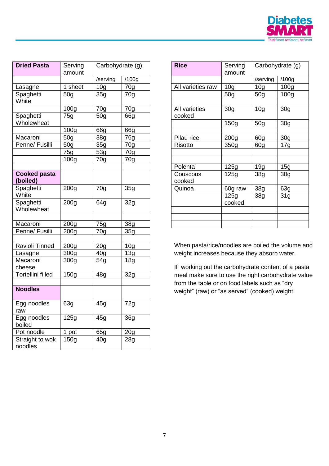

| <b>Dried Pasta</b>              | Serving<br>amount | Carbohydrate (g) |                 |
|---------------------------------|-------------------|------------------|-----------------|
|                                 |                   | /serving         | /100g           |
| Lasagne                         | 1 sheet           | 10 <sub>g</sub>  | 70 <sub>q</sub> |
| Spaghetti<br>White              | 50 <sub>q</sub>   | 35g              | 70g             |
|                                 | 100g              | 70g              | 70g             |
| Spaghetti<br>Wholewheat         | 75q               | 50 <sub>g</sub>  | 66g             |
|                                 | 100 <sub>g</sub>  | 66g              | 66g             |
| Macaroni                        | 50 <sub>g</sub>   | 38g              | 76g             |
| Penne/ Fusilli                  | 50g               | 35g              | 70g             |
|                                 | 75g               | 53g              | 70 <sub>g</sub> |
|                                 | 100 <sub>g</sub>  | 70g              | 70 <sub>g</sub> |
| <b>Cooked pasta</b><br>(boiled) |                   |                  |                 |
| Spaghetti<br>White              | 200 <sub>g</sub>  | 70g              | 35g             |
| Spaghetti<br>Wholewheat         | 200 <sub>g</sub>  | 64g              | 32g             |
|                                 |                   |                  |                 |
| Macaroni                        | 200g              | 75g              | 38g             |
| Penne/ Fusilli                  | 200g              | 70g              | 35g             |
| Ravioli Tinned                  | 200g              | 20 <sub>g</sub>  | 10 <sub>q</sub> |
| Lasagne                         | 300g              | 40 <sub>q</sub>  | 13g             |
| Macaroni<br>cheese              | 300g              | 54g              | 18 <sub>q</sub> |
| Tortellini filled               | 150g              | 48g              | 32g             |
|                                 |                   |                  |                 |
| <b>Noodles</b>                  |                   |                  |                 |
| Egg noodles<br>raw              | 63g               | 45g              | 72g             |
| Egg noodles<br>boiled           | 125g              | 45g              | 36g             |
| Pot noodle                      | 1 pot             | 65g              | 20 <sub>g</sub> |
| Straight to wok<br>noodles      | 150g              | 40 <sub>g</sub>  | 28g             |

| <b>Rice</b>             | Serving<br>amount | Carbohydrate (g) |                  |
|-------------------------|-------------------|------------------|------------------|
|                         |                   | /serving         | /100g            |
| All varieties raw       | 10 <sub>g</sub>   | 10 <sub>g</sub>  | 100 <sub>g</sub> |
|                         | 50 <sub>q</sub>   | 50 <sub>q</sub>  | 100g             |
|                         |                   |                  |                  |
| All varieties<br>cooked | 30 <sub>g</sub>   | 10 <sub>g</sub>  | 30 <sub>g</sub>  |
|                         | 150g              | 50 <sub>g</sub>  | 30 <sub>g</sub>  |
|                         |                   |                  |                  |
| Pilau rice              | 200 <sub>g</sub>  | 60g              | 30g              |
| Risotto                 | 350g              | 60 <sub>q</sub>  | 17g              |
|                         |                   |                  |                  |
|                         |                   |                  |                  |
| Polenta                 | 125g              | 19 <sub>g</sub>  | 15g              |
| Couscous<br>cooked      | 125g              | 38g              | 30g              |
| Quinoa                  | 60g raw           | 38 <sub>g</sub>  | 63g              |
|                         | 125g<br>cooked    | 38g              | 31 <sub>g</sub>  |
|                         |                   |                  |                  |
|                         |                   |                  |                  |
|                         |                   |                  |                  |

When pasta/rice/noodles are boiled the volume and weight increases because they absorb water.

If working out the carbohydrate content of a pasta meal make sure to use the right carbohydrate value from the table or on food labels such as "dry weight" (raw) or "as served" (cooked) weight.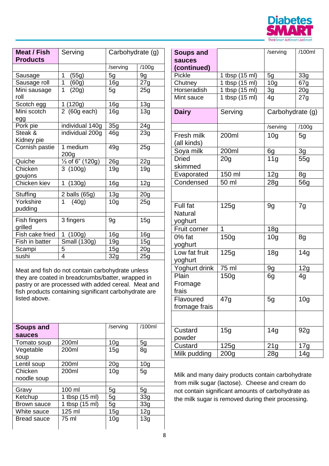

| Meat / Fish<br><b>Products</b> | Serving                      | Carbohydrate (g) |                   |
|--------------------------------|------------------------------|------------------|-------------------|
|                                |                              | /serving         | /100g             |
| Sausage                        | 1<br>(55g)                   | 5g               | 9g                |
| Sausage roll                   | 1<br>(60g)                   | 16 <sub>g</sub>  | 27g               |
| Mini sausage<br>roll           | 1<br>(20g)                   | 5g               | 25g               |
| Scotch egg                     | 1 (120g)                     | 16 <sub>g</sub>  | 13g               |
| Mini scotch                    | 2 (60g each)                 | 16 <sub>q</sub>  | 13g               |
| egg                            |                              |                  |                   |
| Pork pie                       | individual 140g              | 35g              | 24g               |
| Steak &<br>Kidney pie          | individual 200g              | 46g              | 23g               |
| Cornish pastie                 | 1 medium<br>200 <sub>q</sub> | 49g              | 25g               |
| Quiche                         | 1/ <sub>3</sub> of 6" (120g) | 26g              | 22g               |
| Chicken<br>goujons             | 3(100q)                      | 19g              | 19g               |
| Chicken kiev                   | 1<br>(130g)                  | 16g              | 12g               |
| Stuffing                       | 2 balls (65g)                | 13g              | 20 <sub>q</sub>   |
| Yorkshire<br>pudding           | 1<br>(40g)                   | 10 <sub>g</sub>  | 25g               |
| Fish fingers<br>grilled        | 3 fingers                    | 9g               | 15g               |
| Fish cake fried                | (100g)<br>1                  | 16 <sub>g</sub>  | <b>16g</b>        |
| Fish in batter                 | <b>Small (130g)</b>          | 19q              | 15g               |
| Scampi                         |                              | 15g              | 20 <sub>g</sub>   |
| sushi                          | $\frac{5}{4}$                | 32g              | $\overline{2}$ 5g |

Meat and fish do not contain carbohydrate unless they are coated in breadcrumbs/batter, wrapped in pastry or are processed with added cereal. Meat and fish products containing significant carbohydrate are listed above.

| <b>Soups and</b>   |                | /serving        | /100ml          |
|--------------------|----------------|-----------------|-----------------|
| sauces             |                |                 |                 |
| Tomato soup        | 200ml          | 10 <sub>g</sub> | 5g              |
| Vegetable          | 200ml          | 15 <sub>q</sub> | 8g              |
| soup               |                |                 |                 |
| Lentil soup        | 200ml          | 20 <sub>g</sub> | 10 <sub>g</sub> |
| Chicken            | 200ml          | 10 <sub>q</sub> | 5g              |
| noodle soup        |                |                 |                 |
| Gravy              | 100 ml         | 5g              | 5g              |
|                    |                |                 |                 |
| Ketchup            | 1 tbsp (15 ml) | 5g              | 33 <sub>q</sub> |
| Brown sauce        | 1 tbsp (15 ml) | 5g              | 33 <sub>q</sub> |
| White sauce        | 125 ml         | 15g             | 12g             |
| <b>Bread sauce</b> | 75 ml          | 10 <sub>q</sub> | 13g             |
|                    |                |                 |                 |

| <b>Soups and</b>                      |                     | /serving         | /100ml          |
|---------------------------------------|---------------------|------------------|-----------------|
| sauces                                |                     |                  |                 |
| (continued)                           |                     |                  |                 |
| Pickle                                | 1 tbsp (15 ml)      | 5g               | 33g             |
| Chutney                               | 1 tbsp (15 ml)      | 10 <sub>g</sub>  | 67g             |
| Horseradish                           | 1 tbsp (15 ml)      | <u>3g</u>        | 20 <sub>g</sub> |
| Mint sauce                            | 1 tbsp (15 ml)      | 4g               | 27g             |
| <b>Dairy</b>                          | Serving             | Carbohydrate (g) |                 |
|                                       |                     | /serving         | /100g           |
| Fresh milk<br>(all kinds)             | 200ml               | 10 <sub>g</sub>  | 5g              |
| Soya milk                             | $200 m\overline{I}$ | 6g               | 3g              |
| <b>Dried</b><br>skimmed               | 20 <sub>g</sub>     | 11 <sub>g</sub>  | 55g             |
| Evaporated                            | 150 ml              | 12g              | 8g              |
| Condensed                             | 50 ml               | 28g              | 56g             |
|                                       |                     |                  |                 |
| Full fat<br><b>Natural</b><br>yoghurt | 125q                | 9g               | 7g              |
| Fruit corner                          | 1                   | 18 <sub>g</sub>  |                 |
| $0\%$ fat<br>yoghurt                  | 150g                | 10 <sub>g</sub>  | 8g              |
| Low fat fruit<br>yoghurt              | 125g                | 18g              | 14 <sub>g</sub> |
| Yoghurt drink                         | 75 ml               | 9g               | 12g             |
| Plain<br>Fromage<br>frais             | 150 <sub>g</sub>    | 6g               | 4g              |
| Flavoured<br>fromage frais            | 47g                 | 5g               | 10 <sub>g</sub> |
|                                       |                     |                  |                 |
| Custard<br>powder                     | 15g                 | 14g              | 92g             |
| Custard                               | 125g                | 21g              | 17g             |
| Milk pudding                          | 200 <sub>g</sub>    | 28g              | 14g             |

Milk and many dairy products contain carbohydrate from milk sugar (lactose). Cheese and cream do not contain significant amounts of carbohydrate as the milk sugar is removed during their processing.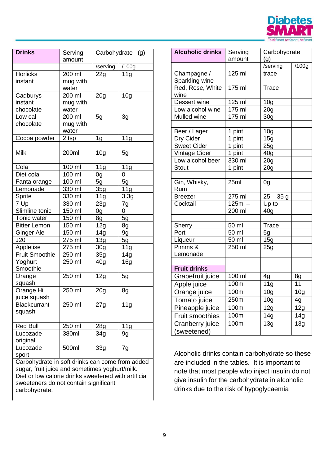

| <b>Drinks</b>                      | Serving<br>amount           | Carbohydrate    | (g)             |
|------------------------------------|-----------------------------|-----------------|-----------------|
|                                    |                             | /serving        | /100g           |
| <b>Horlicks</b><br>instant         | 200 ml<br>mug with<br>water | 22g             | 11 <sub>g</sub> |
| Cadburys<br>instant<br>chocolate   | 200 ml<br>mug with<br>water | 20 <sub>g</sub> | 10 <sub>g</sub> |
| Low cal<br>chocolate               | 200 ml<br>mug with<br>water | 5g              | 3g              |
| Cocoa powder                       | 2 tsp                       | 1 <sub>g</sub>  | 11g             |
| Milk                               | 200ml                       | 10 <sub>g</sub> | 5g              |
| Cola<br>Diet cola                  | 100 ml<br>100 ml            | 11 <sub>g</sub> | 11g<br>0        |
|                                    |                             | 0g              |                 |
| Fanta orange                       | 100 ml                      | 5g              | 5g              |
| Lemonade                           | 330 ml                      | 35g             | 11g             |
| Sprite                             | 330 ml                      | 11g             | 3.3g            |
| 7 Up                               | 330 ml                      | 23g             | 7g              |
| Slimline tonic                     | 150 ml                      | 0g              | 0               |
| Tonic water                        | 150 ml                      | 8g              | 5g              |
| <b>Bitter Lemon</b>                | 150 ml                      | 12g             | 8g              |
| Ginger Ale                         | 150 ml                      | 14g             | 9g              |
| J20                                | 275 ml                      | 13g             | 5g              |
| Appletise<br><b>Fruit Smoothie</b> | 275 ml<br>250 ml            | 30 <sub>g</sub> | 11g             |
| Yoghurt<br>Smoothie                | 250 ml                      | 35g<br>40g      | 14g<br>16g      |
| Orange<br>squash                   | 250 ml                      | 12g             | 5g              |
| Orange Hi<br>juice squash          | 250 ml                      | 20 <sub>g</sub> | 8g              |
| <b>Blackcurrant</b><br>squash      | 250 ml                      | 27g             | 11 <sub>q</sub> |
| <b>Red Bull</b>                    | 250 ml                      | 28g             | 11g             |
| Lucozade<br>original               | 380ml                       | 34g             | 9g              |
| Lucozade<br>sport                  | 500ml                       | 33g             | 7g              |

Carbohydrate in soft drinks can come from added sugar, fruit juice and sometimes yoghurt/milk. Diet or low calorie drinks sweetened with artificial sweeteners do not contain significant carbohydrate.

| <b>Alcoholic drinks</b>       | Serving   | Carbohydrate      |                   |
|-------------------------------|-----------|-------------------|-------------------|
|                               | amount    | (g)               |                   |
|                               |           | /serving          | $\sqrt{100}$ g    |
| Champagne /<br>Sparkling wine | 125 ml    | trace             |                   |
| Red, Rose, White<br>wine      | $175$ ml  | Trace             |                   |
| Dessert wine                  | 125 ml    | 10 <sub>g</sub>   |                   |
| Low alcohol wine              | 175 ml    | 20g               |                   |
| Mulled wine                   | 175 ml    | 30 <sub>g</sub>   |                   |
|                               |           |                   |                   |
| Beer / Lager                  | 1 pint    | 10 <sub>g</sub>   |                   |
| Dry Cider                     | 1 pint    | 15g               |                   |
| <b>Sweet Cider</b>            | 1 pint    | 25g               |                   |
| Vintage Cider                 | 1 pint    | 40 <sub>g</sub>   |                   |
| Low alcohol beer              | 330 ml    | 20 <sub>g</sub>   |                   |
| <b>Stout</b>                  | 1 pint    | 20 <sub>g</sub>   |                   |
|                               |           |                   |                   |
| Gin, Whisky,<br>Rum           | 25ml      | 0g                |                   |
| <b>Breezer</b>                | 275 ml    | $25 - 35$ g       |                   |
| Cocktail                      | $125ml -$ | Up to             |                   |
|                               | 200 ml    | 40 <sub>g</sub>   |                   |
|                               |           |                   |                   |
| <b>Sherry</b>                 | 50 ml     | Trace             |                   |
| Port                          | 50 ml     | 5g                |                   |
| Liqueur                       | 50 ml     | 15g               |                   |
| Pimms &                       | 250 ml    | 25g               |                   |
| Lemonade                      |           |                   |                   |
|                               |           |                   |                   |
| <b>Fruit drinks</b>           |           |                   |                   |
| Grapefruit juice              | 100 ml    | 4g                | 8g                |
| Apple juice                   | 100ml     | 11g               | 11                |
| Orange juice                  | 100ml     | 10 <sub>g</sub>   | 10 <sub>g</sub>   |
| Tomato juice                  | 250ml     | 10 <sub>g</sub>   | 4g                |
| Pineapple juice               | 100ml     | 12g               | 12g               |
| <b>Fruit smoothies</b>        | 100ml     | $\overline{1}$ 4g | 14g               |
| Cranberry juice               | 100ml     | $\overline{1}3g$  | $\overline{1}$ 3g |
| (sweetened)                   |           |                   |                   |

Alcoholic drinks contain carbohydrate so these are included in the tables. It is important to note that most people who inject insulin do not give insulin for the carbohydrate in alcoholic drinks due to the risk of hypoglycaemia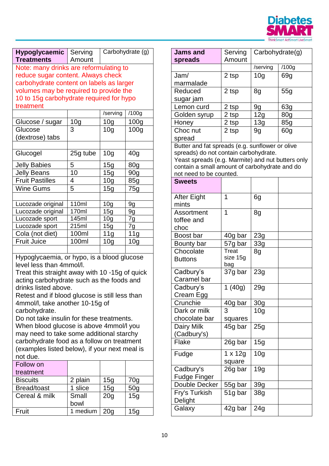

| <b>Hypoglycaemic</b><br><b>Treatments</b>                                                                                                                                                                                                                                                                                                                                                                                                                                                                                                                       | Carbohydrate (g)<br>Serving<br>Amount |                 |                  |  |  |
|-----------------------------------------------------------------------------------------------------------------------------------------------------------------------------------------------------------------------------------------------------------------------------------------------------------------------------------------------------------------------------------------------------------------------------------------------------------------------------------------------------------------------------------------------------------------|---------------------------------------|-----------------|------------------|--|--|
| Note: many drinks are reformulating to                                                                                                                                                                                                                                                                                                                                                                                                                                                                                                                          |                                       |                 |                  |  |  |
| reduce sugar content. Always check                                                                                                                                                                                                                                                                                                                                                                                                                                                                                                                              |                                       |                 |                  |  |  |
| carbohydrate content on labels as larger                                                                                                                                                                                                                                                                                                                                                                                                                                                                                                                        |                                       |                 |                  |  |  |
| volumes may be required to provide the                                                                                                                                                                                                                                                                                                                                                                                                                                                                                                                          |                                       |                 |                  |  |  |
| 10 to 15g carbohydrate required for hypo                                                                                                                                                                                                                                                                                                                                                                                                                                                                                                                        |                                       |                 |                  |  |  |
| treatment                                                                                                                                                                                                                                                                                                                                                                                                                                                                                                                                                       |                                       |                 |                  |  |  |
|                                                                                                                                                                                                                                                                                                                                                                                                                                                                                                                                                                 |                                       | /serving        | /100g            |  |  |
| Glucose / sugar                                                                                                                                                                                                                                                                                                                                                                                                                                                                                                                                                 | 10 <sub>g</sub>                       | 10 <sub>g</sub> | 100 <sub>g</sub> |  |  |
| Glucose                                                                                                                                                                                                                                                                                                                                                                                                                                                                                                                                                         | 3                                     |                 |                  |  |  |
|                                                                                                                                                                                                                                                                                                                                                                                                                                                                                                                                                                 |                                       | 10 <sub>q</sub> | 100 <sub>g</sub> |  |  |
| (dextrose) tabs                                                                                                                                                                                                                                                                                                                                                                                                                                                                                                                                                 |                                       |                 |                  |  |  |
|                                                                                                                                                                                                                                                                                                                                                                                                                                                                                                                                                                 |                                       |                 |                  |  |  |
| Glucogel                                                                                                                                                                                                                                                                                                                                                                                                                                                                                                                                                        | 25g tube                              | 10 <sub>g</sub> | 40 <sub>g</sub>  |  |  |
| <b>Jelly Babies</b>                                                                                                                                                                                                                                                                                                                                                                                                                                                                                                                                             | 5                                     | 15g             | 80g              |  |  |
| <b>Jelly Beans</b>                                                                                                                                                                                                                                                                                                                                                                                                                                                                                                                                              | 10                                    | 15 <sub>q</sub> | 90 <sub>g</sub>  |  |  |
| <b>Fruit Pastilles</b>                                                                                                                                                                                                                                                                                                                                                                                                                                                                                                                                          | 4                                     | 10 <sub>g</sub> | 85g              |  |  |
| <b>Wine Gums</b>                                                                                                                                                                                                                                                                                                                                                                                                                                                                                                                                                | 5                                     | 15g             | 75g              |  |  |
|                                                                                                                                                                                                                                                                                                                                                                                                                                                                                                                                                                 |                                       |                 |                  |  |  |
| Lucozade original                                                                                                                                                                                                                                                                                                                                                                                                                                                                                                                                               | 110ml                                 | 10 <sub>g</sub> | 9g               |  |  |
| Lucozade original                                                                                                                                                                                                                                                                                                                                                                                                                                                                                                                                               | 170ml                                 | 15g             | 9g               |  |  |
| Lucozade sport                                                                                                                                                                                                                                                                                                                                                                                                                                                                                                                                                  | 145ml                                 | 10 <sub>g</sub> | 7g               |  |  |
| Lucozade sport                                                                                                                                                                                                                                                                                                                                                                                                                                                                                                                                                  | 215ml                                 | 15g             | 7g               |  |  |
| Cola (not diet)                                                                                                                                                                                                                                                                                                                                                                                                                                                                                                                                                 | 100ml                                 | 11g             | 11g              |  |  |
| <b>Fruit Juice</b>                                                                                                                                                                                                                                                                                                                                                                                                                                                                                                                                              | 100ml                                 | 10 <sub>g</sub> | 10 <sub>g</sub>  |  |  |
|                                                                                                                                                                                                                                                                                                                                                                                                                                                                                                                                                                 |                                       |                 |                  |  |  |
| Hypoglycaemia, or hypo, is a blood glucose<br>level less than 4mmol/l.<br>Treat this straight away with 10 -15g of quick<br>acting carbohydrate such as the foods and<br>drinks listed above.<br>Retest and if blood glucose is still less than<br>4mmol/l, take another 10-15g of<br>carbohydrate.<br>Do not take insulin for these treatments.<br>When blood glucose is above 4mmol/l you<br>may need to take some additional starchy<br>carbohydrate food as a follow on treatment<br>(examples listed below), if your next meal is<br>not due.<br>Follow on |                                       |                 |                  |  |  |
| treatment                                                                                                                                                                                                                                                                                                                                                                                                                                                                                                                                                       |                                       |                 |                  |  |  |
| <b>Biscuits</b>                                                                                                                                                                                                                                                                                                                                                                                                                                                                                                                                                 | 2 plain                               | 15g             | 70g              |  |  |
| Bread/toast                                                                                                                                                                                                                                                                                                                                                                                                                                                                                                                                                     | 1 slice                               | 15g             | 50g              |  |  |
| Cereal & milk<br>Small<br>20 <sub>g</sub><br>15g<br>bowl                                                                                                                                                                                                                                                                                                                                                                                                                                                                                                        |                                       |                 |                  |  |  |

Fruit 1 medium 20g 15g

| <b>Jams and</b>                                                                                                                                                                                                           | Serving         | Carbohydrate(g) |                 |
|---------------------------------------------------------------------------------------------------------------------------------------------------------------------------------------------------------------------------|-----------------|-----------------|-----------------|
| spreads                                                                                                                                                                                                                   | Amount          |                 |                 |
|                                                                                                                                                                                                                           |                 | /serving        | /100g           |
| Jam/                                                                                                                                                                                                                      | 2 tsp           | 10 <sub>q</sub> | 69g             |
| marmalade                                                                                                                                                                                                                 |                 |                 |                 |
| Reduced                                                                                                                                                                                                                   | 2 tsp           | 8g              | 55g             |
| sugar jam                                                                                                                                                                                                                 |                 |                 |                 |
| Lemon curd                                                                                                                                                                                                                | 2 tsp           | 9g              | 63g             |
| Golden syrup                                                                                                                                                                                                              | 2 tsp           | 12g             | 80 <sub>q</sub> |
| Honey                                                                                                                                                                                                                     | 2 tsp           | 13g             | 85g             |
| Choc nut                                                                                                                                                                                                                  | 2 tsp           | 9g              | 60 <sub>g</sub> |
| spread                                                                                                                                                                                                                    |                 |                 |                 |
| Butter and fat spreads (e.g. sunflower or olive<br>spreads) do not contain carbohydrate.<br>Yeast spreads (e.g. Marmite) and nut butters only<br>contain a small amount of carbohydrate and do<br>not need to be counted. |                 |                 |                 |
| <b>Sweets</b>                                                                                                                                                                                                             |                 |                 |                 |
|                                                                                                                                                                                                                           | 1               |                 |                 |
| After Eight                                                                                                                                                                                                               |                 | 6g              |                 |
| mints                                                                                                                                                                                                                     | 1               |                 |                 |
| Assortment                                                                                                                                                                                                                |                 | 8g              |                 |
| toffee and                                                                                                                                                                                                                |                 |                 |                 |
| choc                                                                                                                                                                                                                      |                 |                 |                 |
| Boost bar                                                                                                                                                                                                                 | 40g bar         | 23g             |                 |
| Bounty bar                                                                                                                                                                                                                | 57g bar         | 33g             |                 |
| Chocolate                                                                                                                                                                                                                 | Treat           | 8g              |                 |
| <b>Buttons</b>                                                                                                                                                                                                            | size 15g<br>bag |                 |                 |
| Cadbury's                                                                                                                                                                                                                 | 37g bar         | 23g             |                 |
| Caramel bar                                                                                                                                                                                                               |                 |                 |                 |
| Cadbury's                                                                                                                                                                                                                 | 1(40g)          | 29g             |                 |
| Cream Egg                                                                                                                                                                                                                 |                 |                 |                 |
| Crunchie                                                                                                                                                                                                                  | 40g bar         | 30g             |                 |
| Dark or milk                                                                                                                                                                                                              | 3               | 10 <sub>g</sub> |                 |
| chocolate bar                                                                                                                                                                                                             | squares         |                 |                 |
| Dairy Milk                                                                                                                                                                                                                | 45g bar         | 25g             |                 |
| (Cadbury's)                                                                                                                                                                                                               |                 |                 |                 |
| Flake                                                                                                                                                                                                                     | 26g bar         | 15g             |                 |
|                                                                                                                                                                                                                           |                 |                 |                 |
| Fudge                                                                                                                                                                                                                     | $1 \times 12g$  | 10 <sub>g</sub> |                 |
|                                                                                                                                                                                                                           | square          |                 |                 |
| Cadbury's                                                                                                                                                                                                                 | 26g bar         | 19g             |                 |
| <b>Fudge Finger</b>                                                                                                                                                                                                       |                 |                 |                 |
| Double Decker                                                                                                                                                                                                             | 55g bar         | 39g             |                 |
| Fry's Turkish                                                                                                                                                                                                             | 51g bar         | 38g             |                 |
| Delight                                                                                                                                                                                                                   |                 |                 |                 |
| Galaxy                                                                                                                                                                                                                    | 42g bar         | 24g             |                 |
|                                                                                                                                                                                                                           |                 |                 |                 |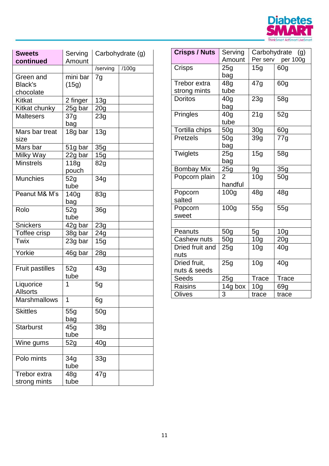

| <b>Sweets</b><br>continued        | Serving<br>Amount       | Carbohydrate (g) |       |
|-----------------------------------|-------------------------|------------------|-------|
|                                   |                         | /serving         | /100g |
| Green and<br>Black's<br>chocolate | mini bar<br>(15g)       | 7g               |       |
| Kitkat                            | 2 finger                | 13g              |       |
| Kitkat chunky                     | 25g bar                 | 20 <sub>g</sub>  |       |
| <b>Maltesers</b>                  | 37g<br>bag              | 23g              |       |
| Mars bar treat<br>size            | 18g bar                 | 13g              |       |
| Mars bar                          | 51g bar                 | 35g              |       |
| Milky Way                         | 22g bar                 | 15g              |       |
| <b>Minstrels</b>                  | 118g<br>pouch           | 82g              |       |
| <b>Munchies</b>                   | 52g<br>tube             | 34 <sub>g</sub>  |       |
| Peanut M& M's                     | 140 <sub>g</sub><br>bag | 83g              |       |
| Rolo                              | 52g<br>tube             | 36g              |       |
| <b>Snickers</b>                   | 42g bar                 | 23g              |       |
| Toffee crisp                      | 38g bar                 | 24g              |       |
| Twix                              | 23g bar                 | 15g              |       |
| Yorkie                            | 46g bar                 | 28g              |       |
| <b>Fruit pastilles</b>            | 52g<br>tube             | 43g              |       |
| Liquorice<br><b>Allsorts</b>      | 1                       | 5g               |       |
| <b>Marshmallows</b>               | 1                       | 6g               |       |
| <b>Skittles</b>                   | 55g<br>bag              | 50 <sub>g</sub>  |       |
| <b>Starburst</b>                  | 45g<br>tube             | 38 <sub>g</sub>  |       |
| Wine gums                         | 52g                     | 40 <sub>g</sub>  |       |
| Polo mints                        | 34g<br>tube             | 33g              |       |
| Trebor extra<br>strong mints      | 48g<br>tube             | 47g              |       |

| <b>Crisps / Nuts</b>         | Serving<br>Amount         |                 | Carbohydrate (g)<br>Per serv per 100g |
|------------------------------|---------------------------|-----------------|---------------------------------------|
| Crisps                       | 25g<br>bag                | 15g             | 60g                                   |
| Trebor extra<br>strong mints | 48g<br>tube               | 47g             | 60g                                   |
| <b>Doritos</b>               | 40g<br>bag                | 23g             | 58g                                   |
| Pringles                     | 40 <sub>q</sub><br>tube   | 21g             | 52g                                   |
| Tortilla chips               | 50 <sub>g</sub>           | 30 <sub>g</sub> | 60 <sub>q</sub>                       |
| <b>Pretzels</b>              | 50g<br>bag                | 39 <sub>g</sub> | 77g                                   |
| <b>Twiglets</b>              | 25g<br>bag                | 15g             | 58g                                   |
| <b>Bombay Mix</b>            | 25g                       | 9g              | 35g                                   |
| Popcorn plain                | $\overline{2}$<br>handful | 10 <sub>g</sub> | 50 <sub>q</sub>                       |
| Popcorn<br>salted            | 100 <sub>g</sub>          | 48 <sub>q</sub> | 48 <sub>q</sub>                       |
| Popcorn<br>sweet             | 100g                      | 55g             | 55q                                   |
| Peanuts                      | 50 <sub>g</sub>           | 5g              | 10 <sub>g</sub>                       |
| <b>Cashew nuts</b>           | 50 <sub>q</sub>           | 10 <sub>g</sub> | 20 <sub>g</sub>                       |
| Dried fruit and<br>nuts      | 25g                       | 10 <sub>g</sub> | 40 <sub>q</sub>                       |
| Dried fruit,<br>nuts & seeds | 25g                       | 10 <sub>g</sub> | 40 <sub>q</sub>                       |
| Seeds                        | 25g                       | <b>Trace</b>    | Trace                                 |
| <b>Raisins</b>               | 14g box                   | 10 <sub>g</sub> | 69g                                   |
| Olives                       | 3                         | trace           | trace                                 |